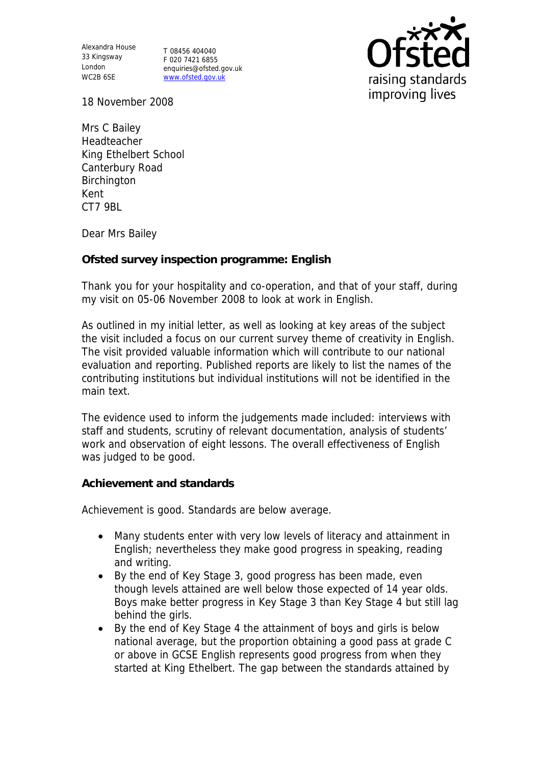Alexandra House 33 Kingsway T 08456 404040 London WC2B 6SE

F 020 7421 6855 enquiries@ofsted.gov.uk www.ofsted.gov.uk



18 November 2008

Mrs C Bailey Headteacher King Ethelbert School Canterbury Road Birchington Kent CT7 9BL

Dear Mrs Bailey

## **Ofsted survey inspection programme: English**

Thank you for your hospitality and co-operation, and that of your staff, during my visit on 05-06 November 2008 to look at work in English.

As outlined in my initial letter, as well as looking at key areas of the subject the visit included a focus on our current survey theme of creativity in English. The visit provided valuable information which will contribute to our national evaluation and reporting. Published reports are likely to list the names of the contributing institutions but individual institutions will not be identified in the main text.

The evidence used to inform the judgements made included: interviews with staff and students, scrutiny of relevant documentation, analysis of students' work and observation of eight lessons. The overall effectiveness of English was judged to be good.

## **Achievement and standards**

Achievement is good. Standards are below average.

- Many students enter with very low levels of literacy and attainment in English; nevertheless they make good progress in speaking, reading and writing.
- By the end of Key Stage 3, good progress has been made, even though levels attained are well below those expected of 14 year olds. Boys make better progress in Key Stage 3 than Key Stage 4 but still lag behind the girls.
- By the end of Key Stage 4 the attainment of boys and girls is below national average, but the proportion obtaining a good pass at grade C or above in GCSE English represents good progress from when they started at King Ethelbert. The gap between the standards attained by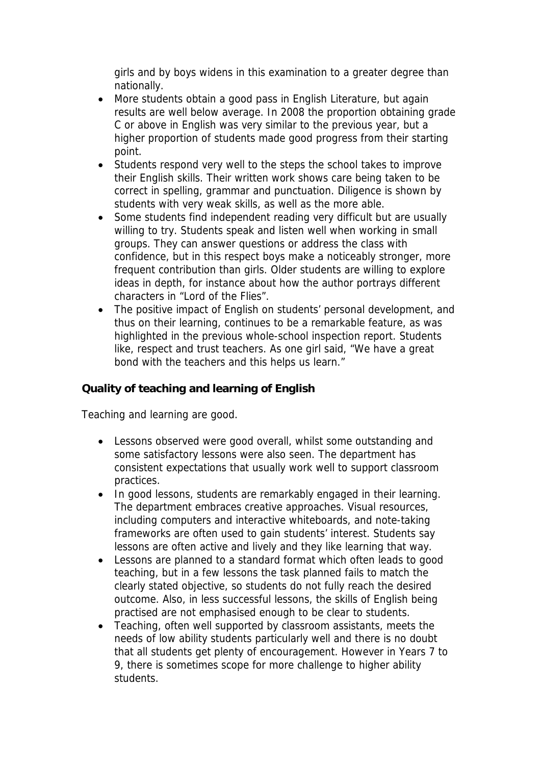girls and by boys widens in this examination to a greater degree than nationally.

- More students obtain a good pass in English Literature, but again results are well below average. In 2008 the proportion obtaining grade C or above in English was very similar to the previous year, but a higher proportion of students made good progress from their starting point.
- Students respond very well to the steps the school takes to improve their English skills. Their written work shows care being taken to be correct in spelling, grammar and punctuation. Diligence is shown by students with very weak skills, as well as the more able.
- Some students find independent reading very difficult but are usually willing to try. Students speak and listen well when working in small groups. They can answer questions or address the class with confidence, but in this respect boys make a noticeably stronger, more frequent contribution than girls. Older students are willing to explore ideas in depth, for instance about how the author portrays different characters in "Lord of the Flies".
- The positive impact of English on students' personal development, and thus on their learning, continues to be a remarkable feature, as was highlighted in the previous whole-school inspection report. Students like, respect and trust teachers. As one girl said, "We have a great bond with the teachers and this helps us learn."

**Quality of teaching and learning of English**

Teaching and learning are good.

- Lessons observed were good overall, whilst some outstanding and some satisfactory lessons were also seen. The department has consistent expectations that usually work well to support classroom practices.
- In good lessons, students are remarkably engaged in their learning. The department embraces creative approaches. Visual resources, including computers and interactive whiteboards, and note-taking frameworks are often used to gain students' interest. Students say lessons are often active and lively and they like learning that way.
- Lessons are planned to a standard format which often leads to good teaching, but in a few lessons the task planned fails to match the clearly stated objective, so students do not fully reach the desired outcome. Also, in less successful lessons, the skills of English being practised are not emphasised enough to be clear to students.
- Teaching, often well supported by classroom assistants, meets the needs of low ability students particularly well and there is no doubt that all students get plenty of encouragement. However in Years 7 to 9, there is sometimes scope for more challenge to higher ability students.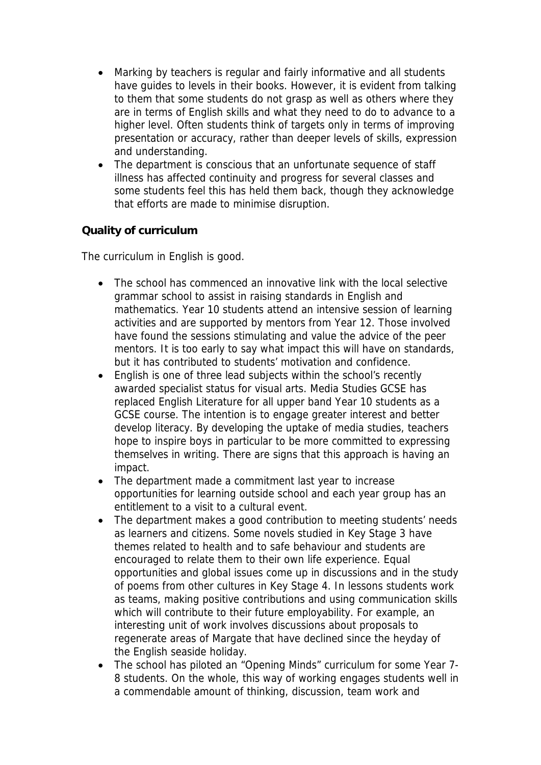- Marking by teachers is regular and fairly informative and all students have guides to levels in their books. However, it is evident from talking to them that some students do not grasp as well as others where they are in terms of English skills and what they need to do to advance to a higher level. Often students think of targets only in terms of improving presentation or accuracy, rather than deeper levels of skills, expression and understanding.
- The department is conscious that an unfortunate sequence of staff illness has affected continuity and progress for several classes and some students feel this has held them back, though they acknowledge that efforts are made to minimise disruption.

## **Quality of curriculum**

The curriculum in English is good.

- The school has commenced an innovative link with the local selective grammar school to assist in raising standards in English and mathematics. Year 10 students attend an intensive session of learning activities and are supported by mentors from Year 12. Those involved have found the sessions stimulating and value the advice of the peer mentors. It is too early to say what impact this will have on standards, but it has contributed to students' motivation and confidence.
- English is one of three lead subjects within the school's recently awarded specialist status for visual arts. Media Studies GCSE has replaced English Literature for all upper band Year 10 students as a GCSE course. The intention is to engage greater interest and better develop literacy. By developing the uptake of media studies, teachers hope to inspire boys in particular to be more committed to expressing themselves in writing. There are signs that this approach is having an impact.
- The department made a commitment last year to increase opportunities for learning outside school and each year group has an entitlement to a visit to a cultural event.
- The department makes a good contribution to meeting students' needs as learners and citizens. Some novels studied in Key Stage 3 have themes related to health and to safe behaviour and students are encouraged to relate them to their own life experience. Equal opportunities and global issues come up in discussions and in the study of poems from other cultures in Key Stage 4. In lessons students work as teams, making positive contributions and using communication skills which will contribute to their future employability. For example, an interesting unit of work involves discussions about proposals to regenerate areas of Margate that have declined since the heyday of the English seaside holiday.
- The school has piloted an "Opening Minds" curriculum for some Year 7-8 students. On the whole, this way of working engages students well in a commendable amount of thinking, discussion, team work and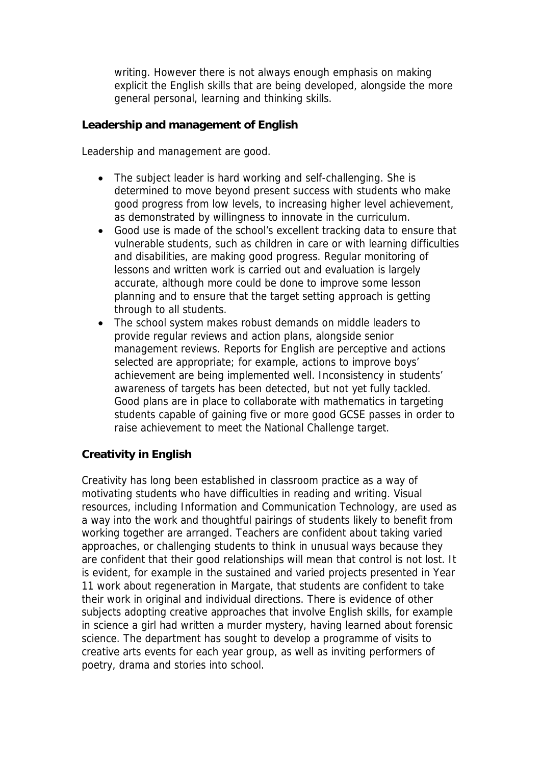writing. However there is not always enough emphasis on making explicit the English skills that are being developed, alongside the more general personal, learning and thinking skills.

**Leadership and management of English**

Leadership and management are good.

- The subject leader is hard working and self-challenging. She is determined to move beyond present success with students who make good progress from low levels, to increasing higher level achievement, as demonstrated by willingness to innovate in the curriculum.
- Good use is made of the school's excellent tracking data to ensure that vulnerable students, such as children in care or with learning difficulties and disabilities, are making good progress. Regular monitoring of lessons and written work is carried out and evaluation is largely accurate, although more could be done to improve some lesson planning and to ensure that the target setting approach is getting through to all students.
- The school system makes robust demands on middle leaders to provide regular reviews and action plans, alongside senior management reviews. Reports for English are perceptive and actions selected are appropriate; for example, actions to improve boys' achievement are being implemented well. Inconsistency in students' awareness of targets has been detected, but not yet fully tackled. Good plans are in place to collaborate with mathematics in targeting students capable of gaining five or more good GCSE passes in order to raise achievement to meet the National Challenge target.

## **Creativity in English**

Creativity has long been established in classroom practice as a way of motivating students who have difficulties in reading and writing. Visual resources, including Information and Communication Technology, are used as a way into the work and thoughtful pairings of students likely to benefit from working together are arranged. Teachers are confident about taking varied approaches, or challenging students to think in unusual ways because they are confident that their good relationships will mean that control is not lost. It is evident, for example in the sustained and varied projects presented in Year 11 work about regeneration in Margate, that students are confident to take their work in original and individual directions. There is evidence of other subjects adopting creative approaches that involve English skills, for example in science a girl had written a murder mystery, having learned about forensic science. The department has sought to develop a programme of visits to creative arts events for each year group, as well as inviting performers of poetry, drama and stories into school.